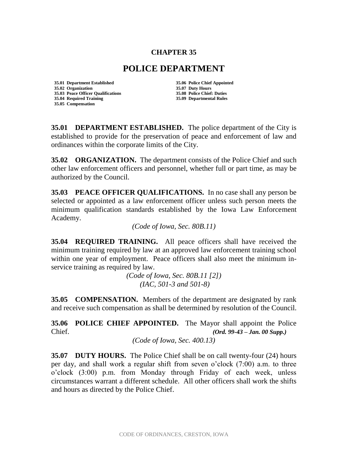## **CHAPTER 35**

## **POLICE DEPARTMENT**

**35.01 Department Established 35.06 Police Chief Appointed 35.02 Organization 35.07 Duty Hours 35.03 Peace Officer Qualifications 35.08 Police Chief: Duties 35.04 Required Training 35.09 Departmental Rules 35.05 Compensation**

**35.01 DEPARTMENT ESTABLISHED.** The police department of the City is established to provide for the preservation of peace and enforcement of law and ordinances within the corporate limits of the City.

**35.02 ORGANIZATION.** The department consists of the Police Chief and such other law enforcement officers and personnel, whether full or part time, as may be authorized by the Council.

**35.03 PEACE OFFICER QUALIFICATIONS.** In no case shall any person be selected or appointed as a law enforcement officer unless such person meets the minimum qualification standards established by the Iowa Law Enforcement Academy.

*(Code of Iowa, Sec. 80B.11)* 

**35.04 REQUIRED TRAINING.** All peace officers shall have received the minimum training required by law at an approved law enforcement training school within one year of employment. Peace officers shall also meet the minimum inservice training as required by law.

> *(Code of Iowa, Sec. 80B.11 [2]) (IAC, 501-3 and 501-8)*

**35.05 COMPENSATION.** Members of the department are designated by rank and receive such compensation as shall be determined by resolution of the Council.

**35.06 POLICE CHIEF APPOINTED.** The Mayor shall appoint the Police Chief. *(Ord. 99-43 – Jan. 00 Supp.)*

*(Code of Iowa, Sec. 400.13)*

**35.07 DUTY HOURS.** The Police Chief shall be on call twenty-four (24) hours per day, and shall work a regular shift from seven o'clock (7:00) a.m. to three o'clock (3:00) p.m. from Monday through Friday of each week, unless circumstances warrant a different schedule. All other officers shall work the shifts and hours as directed by the Police Chief.